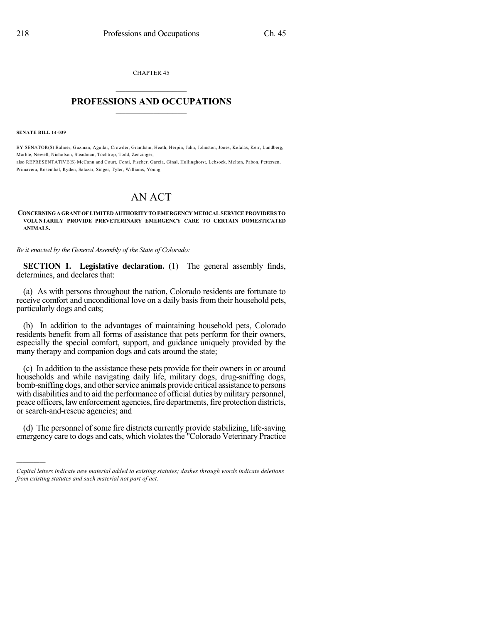CHAPTER 45  $\overline{\phantom{a}}$  . The set of the set of the set of the set of the set of the set of the set of the set of the set of the set of the set of the set of the set of the set of the set of the set of the set of the set of the set o

## **PROFESSIONS AND OCCUPATIONS**  $\frac{1}{2}$  ,  $\frac{1}{2}$  ,  $\frac{1}{2}$  ,  $\frac{1}{2}$  ,  $\frac{1}{2}$  ,  $\frac{1}{2}$  ,  $\frac{1}{2}$

**SENATE BILL 14-039**

)))))

BY SENATOR(S) Balmer, Guzman, Aguilar, Crowder, Grantham, Heath, Herpin, Jahn, Johnston, Jones, Kefalas, Kerr, Lundberg, Marble, Newell, Nicholson, Steadman, Tochtrop, Todd, Zenzinger; also REPRESENTATIVE(S) McCann and Court, Conti, Fischer, Garcia, Ginal, Hullinghorst, Lebsock, Melton, Pabon, Pettersen, Primavera, Rosenthal, Ryden, Salazar, Singer, Tyler, Williams, Young.

## AN ACT

## **CONCERNINGAGRANTOFLIMITED AUTHORITY TOEMERGENCYMEDICALSERVICEPROVIDERS TO VOLUNTARILY PROVIDE PREVETERINARY EMERGENCY CARE TO CERTAIN DOMESTICATED ANIMALS.**

*Be it enacted by the General Assembly of the State of Colorado:*

**SECTION 1. Legislative declaration.** (1) The general assembly finds, determines, and declares that:

(a) As with persons throughout the nation, Colorado residents are fortunate to receive comfort and unconditional love on a daily basis from their household pets, particularly dogs and cats;

(b) In addition to the advantages of maintaining household pets, Colorado residents benefit from all forms of assistance that pets perform for their owners, especially the special comfort, support, and guidance uniquely provided by the many therapy and companion dogs and cats around the state;

(c) In addition to the assistance these pets provide for their owners in or around households and while navigating daily life, military dogs, drug-sniffing dogs, bomb-sniffing dogs, and other service animals provide critical assistance to persons with disabilities and to aid the performance of official duties by military personnel, peace officers, law enforcement agencies, fire departments, fire protection districts, or search-and-rescue agencies; and

(d) The personnel of some fire districts currently provide stabilizing, life-saving emergency care to dogs and cats, which violates the "Colorado Veterinary Practice"

*Capital letters indicate new material added to existing statutes; dashes through words indicate deletions from existing statutes and such material not part of act.*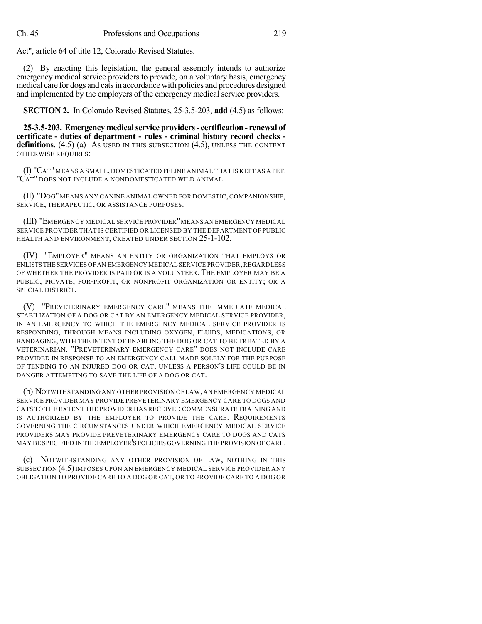Act", article 64 of title 12, Colorado Revised Statutes.

(2) By enacting this legislation, the general assembly intends to authorize emergency medical service providers to provide, on a voluntary basis, emergency medical care for dogs and catsin accordance with policies and procedures designed and implemented by the employers of the emergency medical service providers.

**SECTION 2.** In Colorado Revised Statutes, 25-3.5-203, **add** (4.5) as follows:

**25-3.5-203. Emergency medicalservice providers- certification - renewal of certificate - duties of department - rules - criminal history record checks**  definitions. (4.5) (a) As USED IN THIS SUBSECTION (4.5), UNLESS THE CONTEXT OTHERWISE REQUIRES:

(I) "CAT"MEANS A SMALL, DOMESTICATED FELINE ANIMAL THAT IS KEPT AS A PET. "CAT" DOES NOT INCLUDE A NONDOMESTICATED WILD ANIMAL.

(II) "DOG"MEANS ANY CANINE ANIMAL OWNED FOR DOMESTIC,COMPANIONSHIP, SERVICE, THERAPEUTIC, OR ASSISTANCE PURPOSES.

(III) "EMERGENCY MEDICAL SERVICE PROVIDER"MEANS AN EMERGENCY MEDICAL SERVICE PROVIDER THAT IS CERTIFIED OR LICENSED BY THE DEPARTMENT OF PUBLIC HEALTH AND ENVIRONMENT, CREATED UNDER SECTION 25-1-102.

(IV) "EMPLOYER" MEANS AN ENTITY OR ORGANIZATION THAT EMPLOYS OR ENLISTS THE SERVICES OFAN EMERGENCY MEDICAL SERVICE PROVIDER,REGARDLESS OF WHETHER THE PROVIDER IS PAID OR IS A VOLUNTEER. THE EMPLOYER MAY BE A PUBLIC, PRIVATE, FOR-PROFIT, OR NONPROFIT ORGANIZATION OR ENTITY; OR A SPECIAL DISTRICT.

(V) "PREVETERINARY EMERGENCY CARE" MEANS THE IMMEDIATE MEDICAL STABILIZATION OF A DOG OR CAT BY AN EMERGENCY MEDICAL SERVICE PROVIDER, IN AN EMERGENCY TO WHICH THE EMERGENCY MEDICAL SERVICE PROVIDER IS RESPONDING, THROUGH MEANS INCLUDING OXYGEN, FLUIDS, MEDICATIONS, OR BANDAGING, WITH THE INTENT OF ENABLING THE DOG OR CAT TO BE TREATED BY A VETERINARIAN. "PREVETERINARY EMERGENCY CARE" DOES NOT INCLUDE CARE PROVIDED IN RESPONSE TO AN EMERGENCY CALL MADE SOLELY FOR THE PURPOSE OF TENDING TO AN INJURED DOG OR CAT, UNLESS A PERSON'S LIFE COULD BE IN DANGER ATTEMPTING TO SAVE THE LIFE OF A DOG OR CAT.

(b) NOTWITHSTANDINGANY OTHER PROVISION OF LAW,AN EMERGENCY MEDICAL SERVICE PROVIDER MAY PROVIDE PREVETERINARY EMERGENCY CARE TO DOGS AND CATS TO THE EXTENT THE PROVIDER HAS RECEIVED COMMENSURATE TRAINING AND IS AUTHORIZED BY THE EMPLOYER TO PROVIDE THE CARE. REQUIREMENTS GOVERNING THE CIRCUMSTANCES UNDER WHICH EMERGENCY MEDICAL SERVICE PROVIDERS MAY PROVIDE PREVETERINARY EMERGENCY CARE TO DOGS AND CATS MAY BE SPECIFIED IN THE EMPLOYER'S POLICIES GOVERNING THE PROVISION OF CARE.

(c) NOTWITHSTANDING ANY OTHER PROVISION OF LAW, NOTHING IN THIS SUBSECTION (4.5) IMPOSES UPON AN EMERGENCY MEDICAL SERVICE PROVIDER ANY OBLIGATION TO PROVIDE CARE TO A DOG OR CAT, OR TO PROVIDE CARE TO A DOG OR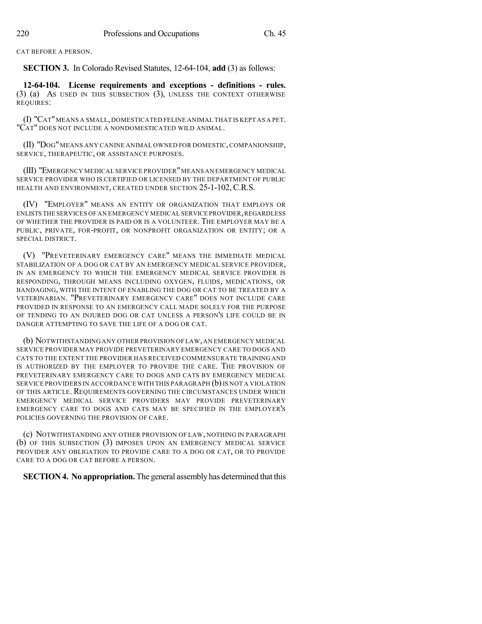CAT BEFORE A PERSON.

**SECTION 3.** In Colorado Revised Statutes, 12-64-104, **add** (3) as follows:

**12-64-104. License requirements and exceptions - definitions - rules.** (3) (a) AS USED IN THIS SUBSECTION (3), UNLESS THE CONTEXT OTHERWISE REQUIRES:

(I) "CAT"MEANS A SMALL, DOMESTICATED FELINE ANIMAL THAT IS KEPT AS A PET. "CAT" DOES NOT INCLUDE A NONDOMESTICATED WILD ANIMAL.

(II) "DOG"MEANS ANY CANINE ANIMAL OWNED FOR DOMESTIC,COMPANIONSHIP, SERVICE, THERAPEUTIC, OR ASSISTANCE PURPOSES.

(III) "EMERGENCY MEDICAL SERVICE PROVIDER"MEANS AN EMERGENCY MEDICAL SERVICE PROVIDER WHO IS CERTIFIED OR LICENSED BY THE DEPARTMENT OF PUBLIC HEALTH AND ENVIRONMENT, CREATED UNDER SECTION 25-1-102, C.R.S.

(IV) "EMPLOYER" MEANS AN ENTITY OR ORGANIZATION THAT EMPLOYS OR ENLISTS THE SERVICES OF AN EMERGENCY MEDICAL SERVICE PROVIDER, REGARDLESS OF WHETHER THE PROVIDER IS PAID OR IS A VOLUNTEER. THE EMPLOYER MAY BE A PUBLIC, PRIVATE, FOR-PROFIT, OR NONPROFIT ORGANIZATION OR ENTITY; OR A SPECIAL DISTRICT.

(V) "PREVETERINARY EMERGENCY CARE" MEANS THE IMMEDIATE MEDICAL STABILIZATION OF A DOG OR CAT BY AN EMERGENCY MEDICAL SERVICE PROVIDER, IN AN EMERGENCY TO WHICH THE EMERGENCY MEDICAL SERVICE PROVIDER IS RESPONDING, THROUGH MEANS INCLUDING OXYGEN, FLUIDS, MEDICATIONS, OR BANDAGING, WITH THE INTENT OF ENABLING THE DOG OR CAT TO BE TREATED BY A VETERINARIAN. "PREVETERINARY EMERGENCY CARE" DOES NOT INCLUDE CARE PROVIDED IN RESPONSE TO AN EMERGENCY CALL MADE SOLELY FOR THE PURPOSE OF TENDING TO AN INJURED DOG OR CAT UNLESS A PERSON'S LIFE COULD BE IN DANGER ATTEMPTING TO SAVE THE LIFE OF A DOG OR CAT.

(b) NOTWITHSTANDING ANY OTHER PROVISION OF LAW,AN EMERGENCY MEDICAL SERVICE PROVIDER MAY PROVIDE PREVETERINARY EMERGENCY CARE TO DOGS AND CATS TO THE EXTENT THE PROVIDER HAS RECEIVED COMMENSURATE TRAINING AND IS AUTHORIZED BY THE EMPLOYER TO PROVIDE THE CARE. THE PROVISION OF PREVETERINARY EMERGENCY CARE TO DOGS AND CATS BY EMERGENCY MEDICAL SERVICE PROVIDERS IN ACCORDANCE WITH THIS PARAGRAPH (b) IS NOT A VIOLATION OF THIS ARTICLE. REQUIREMENTS GOVERNING THE CIRCUMSTANCES UNDER WHICH EMERGENCY MEDICAL SERVICE PROVIDERS MAY PROVIDE PREVETERINARY EMERGENCY CARE TO DOGS AND CATS MAY BE SPECIFIED IN THE EMPLOYER'S POLICIES GOVERNING THE PROVISION OF CARE.

(c) NOTWITHSTANDING ANY OTHER PROVISION OF LAW, NOTHING IN PARAGRAPH (b) OF THIS SUBSECTION (3) IMPOSES UPON AN EMERGENCY MEDICAL SERVICE PROVIDER ANY OBLIGATION TO PROVIDE CARE TO A DOG OR CAT, OR TO PROVIDE CARE TO A DOG OR CAT BEFORE A PERSON.

**SECTION 4. No appropriation.** The general assembly has determined that this